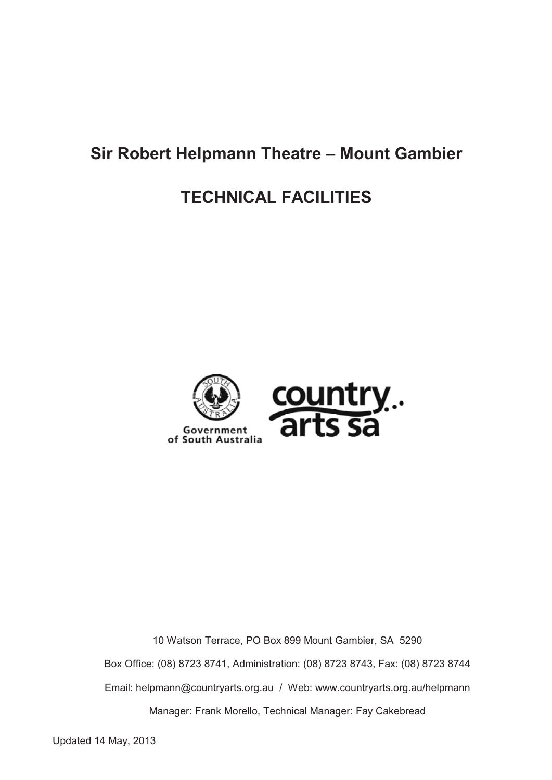# **Sir Robert Helpmann Theatre – Mount Gambier**

# **TECHNICAL FACILITIES**



10 Watson Terrace, PO Box 899 Mount Gambier, SA 5290 Box Office: (08) 8723 8741, Administration: (08) 8723 8743, Fax: (08) 8723 8744 Email: helpmann@countryarts.org.au / Web: www.countryarts.org.au/helpmann Manager: Frank Morello, Technical Manager: Fay Cakebread

Updated 14 May, 2013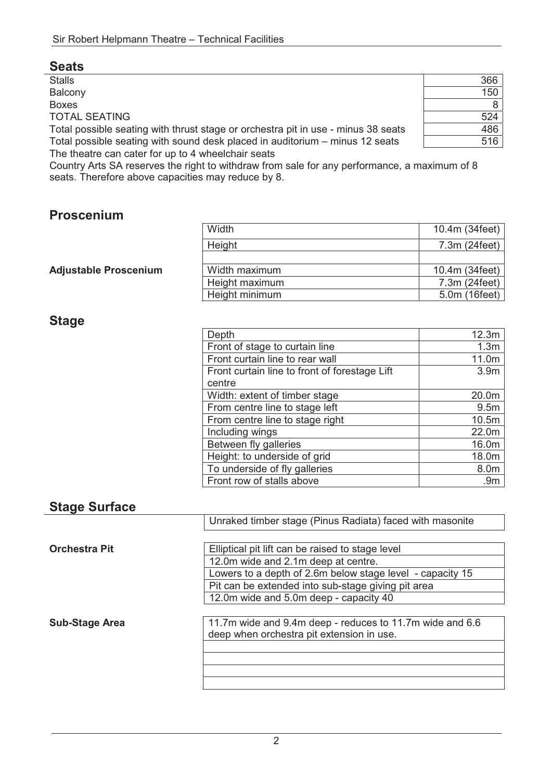Stalls 366 Balcony 150 Boxes 8 TOTAL SEATING 524 Total possible seating with thrust stage or orchestra pit in use - minus 38 seats  $\sqrt{486}$ Total possible seating with sound desk placed in auditorium – minus 12 seats  $\vert$  516

The theatre can cater for up to 4 wheelchair seats Country Arts SA reserves the right to withdraw from sale for any performance, a maximum of 8 seats. Therefore above capacities may reduce by 8.

### **Proscenium**

|                              | Width          | 10.4m (34feet)  |
|------------------------------|----------------|-----------------|
| <b>Adjustable Proscenium</b> | Height         | $7.3m$ (24feet) |
|                              |                |                 |
|                              | Width maximum  | 10.4m (34feet)  |
|                              | Height maximum | 7.3m (24feet)   |
|                              | Height minimum | 5.0m (16feet)   |

#### **Stage**

| 12.3m                                                                                                                                                                                                                                                                                                                                                                                 |
|---------------------------------------------------------------------------------------------------------------------------------------------------------------------------------------------------------------------------------------------------------------------------------------------------------------------------------------------------------------------------------------|
| 1.3 <sub>m</sub>                                                                                                                                                                                                                                                                                                                                                                      |
| 11.0m                                                                                                                                                                                                                                                                                                                                                                                 |
| 3.9 <sub>m</sub>                                                                                                                                                                                                                                                                                                                                                                      |
|                                                                                                                                                                                                                                                                                                                                                                                       |
| 20.0m                                                                                                                                                                                                                                                                                                                                                                                 |
| 9.5 <sub>m</sub>                                                                                                                                                                                                                                                                                                                                                                      |
| 10.5m                                                                                                                                                                                                                                                                                                                                                                                 |
| 22.0m                                                                                                                                                                                                                                                                                                                                                                                 |
| 16.0m                                                                                                                                                                                                                                                                                                                                                                                 |
| 18.0m                                                                                                                                                                                                                                                                                                                                                                                 |
| 8.0m                                                                                                                                                                                                                                                                                                                                                                                  |
| .9 <sub>m</sub>                                                                                                                                                                                                                                                                                                                                                                       |
| Depth<br>Front of stage to curtain line<br>Front curtain line to rear wall<br>Front curtain line to front of forestage Lift<br>centre<br>Width: extent of timber stage<br>From centre line to stage left<br>From centre line to stage right<br>Including wings<br>Between fly galleries<br>Height: to underside of grid<br>To underside of fly galleries<br>Front row of stalls above |

#### **Stage Surface**

|                       | Unraked timber stage (Pinus Radiata) faced with masonite  |
|-----------------------|-----------------------------------------------------------|
|                       |                                                           |
| <b>Orchestra Pit</b>  | Elliptical pit lift can be raised to stage level          |
|                       | 12.0m wide and 2.1m deep at centre.                       |
|                       | Lowers to a depth of 2.6m below stage level - capacity 15 |
|                       | Pit can be extended into sub-stage giving pit area        |
|                       | 12.0m wide and 5.0m deep - capacity 40                    |
|                       |                                                           |
| <b>Sub-Stage Area</b> | 11.7m wide and 9.4m deep - reduces to 11.7m wide and 6.6  |
|                       | deep when orchestra pit extension in use.                 |
|                       |                                                           |
|                       |                                                           |
|                       |                                                           |
|                       |                                                           |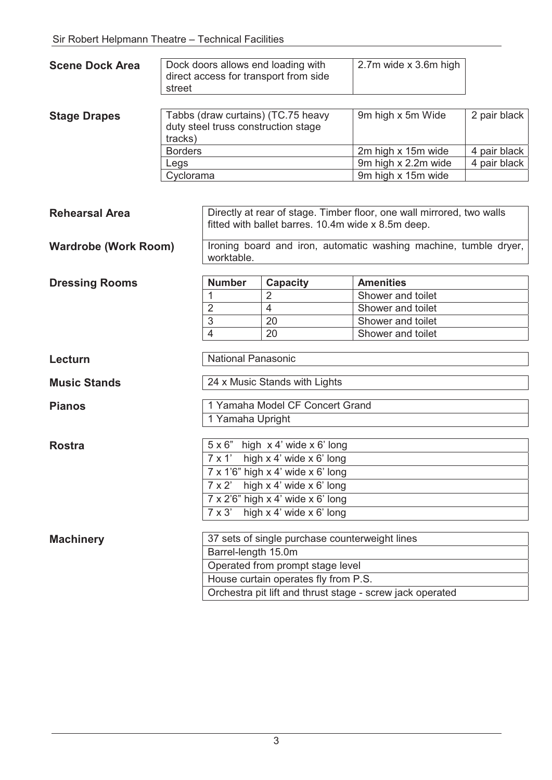| <b>Scene Dock Area</b>         | Dock doors allows end loading with<br>direct access for transport from side<br>street |                                                                                                                             |                                                                           | 2.7m wide x 3.6m high                                            |              |  |
|--------------------------------|---------------------------------------------------------------------------------------|-----------------------------------------------------------------------------------------------------------------------------|---------------------------------------------------------------------------|------------------------------------------------------------------|--------------|--|
| <b>Stage Drapes</b><br>tracks) |                                                                                       |                                                                                                                             | Tabbs (draw curtains) (TC.75 heavy<br>duty steel truss construction stage | 9m high x 5m Wide                                                | 2 pair black |  |
|                                | <b>Borders</b>                                                                        |                                                                                                                             |                                                                           | 2m high x 15m wide                                               | 4 pair black |  |
|                                | Legs                                                                                  |                                                                                                                             |                                                                           | 9m high x 2.2m wide                                              | 4 pair black |  |
|                                | Cyclorama                                                                             |                                                                                                                             |                                                                           | 9m high x 15m wide                                               |              |  |
| <b>Rehearsal Area</b>          |                                                                                       | Directly at rear of stage. Timber floor, one wall mirrored, two walls<br>fitted with ballet barres. 10.4m wide x 8.5m deep. |                                                                           |                                                                  |              |  |
| <b>Wardrobe (Work Room)</b>    |                                                                                       | worktable.                                                                                                                  |                                                                           | Ironing board and iron, automatic washing machine, tumble dryer, |              |  |
| <b>Dressing Rooms</b>          |                                                                                       | <b>Number</b>                                                                                                               | <b>Capacity</b>                                                           | <b>Amenities</b>                                                 |              |  |
|                                |                                                                                       | 1                                                                                                                           | $\overline{2}$                                                            | Shower and toilet                                                |              |  |
|                                |                                                                                       | $\overline{2}$                                                                                                              | 4                                                                         | Shower and toilet                                                |              |  |
|                                |                                                                                       | $\mathbf{3}$                                                                                                                | 20                                                                        | Shower and toilet                                                |              |  |
|                                |                                                                                       | 4                                                                                                                           | 20                                                                        | Shower and toilet                                                |              |  |
| Lecturn                        |                                                                                       | <b>National Panasonic</b>                                                                                                   |                                                                           |                                                                  |              |  |
| <b>Music Stands</b>            |                                                                                       | 24 x Music Stands with Lights                                                                                               |                                                                           |                                                                  |              |  |
| <b>Pianos</b>                  |                                                                                       | 1 Yamaha Model CF Concert Grand                                                                                             |                                                                           |                                                                  |              |  |
|                                |                                                                                       | 1 Yamaha Upright                                                                                                            |                                                                           |                                                                  |              |  |
| <b>Rostra</b>                  |                                                                                       | $5 \times 6$ " high $\times$ 4' wide $\times$ 6' long                                                                       |                                                                           |                                                                  |              |  |
|                                |                                                                                       | high x 4' wide x 6' long<br>$7 \times 1$                                                                                    |                                                                           |                                                                  |              |  |
|                                |                                                                                       | $7 \times 1'6''$ high $\times 4'$ wide $\times 6'$ long                                                                     |                                                                           |                                                                  |              |  |
|                                |                                                                                       | high x 4' wide x 6' long<br>$7 \times 2$<br>$7 \times 2'6''$ high $\times$ 4' wide $\times$ 6' long                         |                                                                           |                                                                  |              |  |
|                                |                                                                                       |                                                                                                                             |                                                                           |                                                                  |              |  |
|                                | $7 \times 3'$<br>high x 4' wide x 6' long                                             |                                                                                                                             |                                                                           |                                                                  |              |  |
| <b>Machinery</b>               |                                                                                       |                                                                                                                             | 37 sets of single purchase counterweight lines                            |                                                                  |              |  |
|                                |                                                                                       | Barrel-length 15.0m                                                                                                         |                                                                           |                                                                  |              |  |
|                                |                                                                                       | Operated from prompt stage level                                                                                            |                                                                           |                                                                  |              |  |
|                                |                                                                                       | House curtain operates fly from P.S.                                                                                        |                                                                           |                                                                  |              |  |
|                                |                                                                                       | Orchestra pit lift and thrust stage - screw jack operated                                                                   |                                                                           |                                                                  |              |  |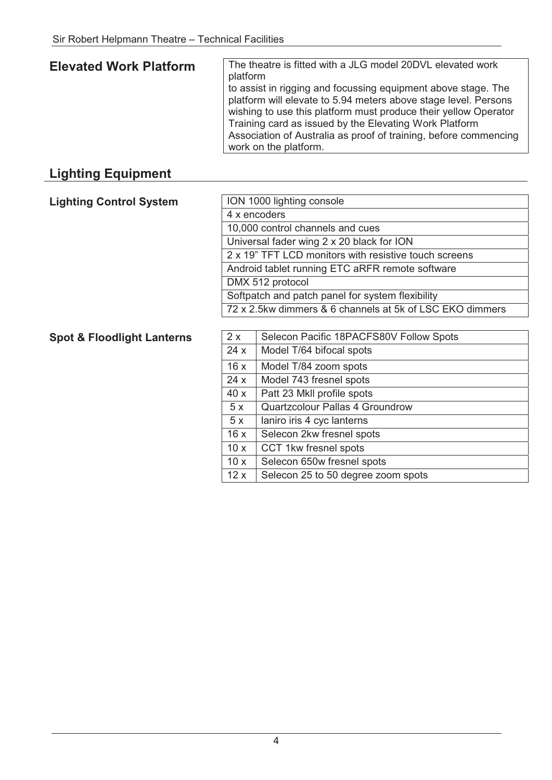#### **Elevated Work Platform** The theatre is fitted with a JLG model 20DVL elevated work platform to assist in rigging and focussing equipment above stage. The platform will elevate to 5.94 meters above stage level. Persons wishing to use this platform must produce their yellow Operator Training card as issued by the Elevating Work Platform Association of Australia as proof of training, before commencing work on the platform.

### **Lighting Equipment**

| <b>Lighting Control System</b> | ION 1000 lighting console                                |  |
|--------------------------------|----------------------------------------------------------|--|
|                                | 4 x encoders                                             |  |
|                                | 10,000 control channels and cues                         |  |
|                                | Universal fader wing 2 x 20 black for ION                |  |
|                                | 2 x 19" TFT LCD monitors with resistive touch screens    |  |
|                                | Android tablet running ETC aRFR remote software          |  |
|                                | DMX 512 protocol                                         |  |
|                                | Softpatch and patch panel for system flexibility         |  |
|                                | 72 x 2.5kw dimmers & 6 channels at 5k of LSC EKO dimmers |  |

#### **Spot & Floodlight Lanterns**

| 2x  | Selecon Pacific 18PACFS80V Follow Spots |
|-----|-----------------------------------------|
| 24x | Model T/64 bifocal spots                |
| 16x | Model T/84 zoom spots                   |
| 24x | Model 743 fresnel spots                 |
| 40x | Patt 23 MkII profile spots              |
| 5x  | <b>Quartzcolour Pallas 4 Groundrow</b>  |
| 5x  | laniro iris 4 cyc lanterns              |
| 16x | Selecon 2kw fresnel spots               |
| 10x | CCT 1kw fresnel spots                   |
| 10x | Selecon 650w fresnel spots              |
| 12x | Selecon 25 to 50 degree zoom spots      |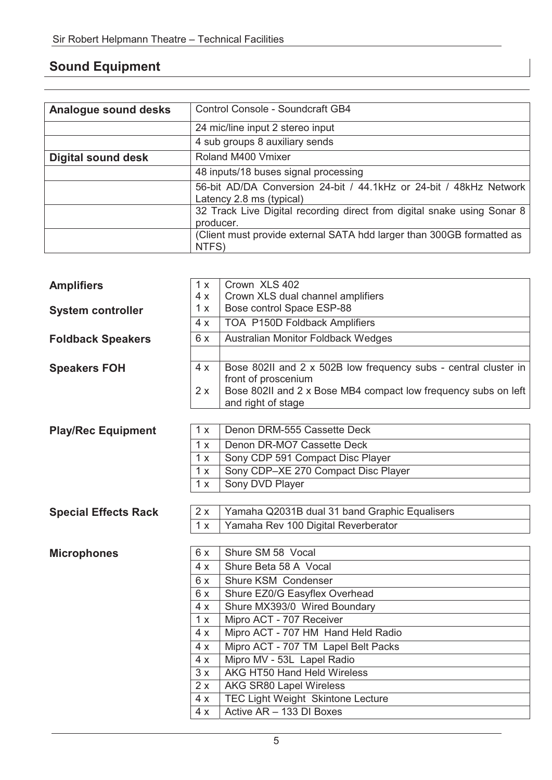## **Sound Equipment**

| Analogue sound desks      | Control Console - Soundcraft GB4                                                               |
|---------------------------|------------------------------------------------------------------------------------------------|
|                           | 24 mic/line input 2 stereo input                                                               |
|                           | 4 sub groups 8 auxiliary sends                                                                 |
| <b>Digital sound desk</b> | Roland M400 Vmixer                                                                             |
|                           | 48 inputs/18 buses signal processing                                                           |
|                           | 56-bit AD/DA Conversion 24-bit / 44.1kHz or 24-bit / 48kHz Network<br>Latency 2.8 ms (typical) |
|                           | 32 Track Live Digital recording direct from digital snake using Sonar 8<br>producer.           |
|                           | (Client must provide external SATA hdd larger than 300GB formatted as<br>NTFS)                 |

| <b>Amplifiers</b>           | 1x  | Crown XLS 402                                                   |  |
|-----------------------------|-----|-----------------------------------------------------------------|--|
|                             | 4x  | Crown XLS dual channel amplifiers                               |  |
| <b>System controller</b>    | 1 x | Bose control Space ESP-88                                       |  |
|                             | 4x  | TOA P150D Foldback Amplifiers                                   |  |
| <b>Foldback Speakers</b>    | 6x  | <b>Australian Monitor Foldback Wedges</b>                       |  |
|                             |     |                                                                 |  |
| <b>Speakers FOH</b>         | 4x  | Bose 802II and 2 x 502B low frequency subs - central cluster in |  |
|                             |     | front of proscenium                                             |  |
|                             | 2x  | Bose 802II and 2 x Bose MB4 compact low frequency subs on left  |  |
|                             |     | and right of stage                                              |  |
|                             | 1 x | Denon DRM-555 Cassette Deck                                     |  |
| <b>Play/Rec Equipment</b>   |     |                                                                 |  |
|                             | 1 x | Denon DR-MO7 Cassette Deck                                      |  |
|                             | 1x  | Sony CDP 591 Compact Disc Player                                |  |
|                             | 1x  | Sony CDP-XE 270 Compact Disc Player                             |  |
|                             | 1x  | Sony DVD Player                                                 |  |
|                             |     |                                                                 |  |
| <b>Special Effects Rack</b> | 2x  | Yamaha Q2031B dual 31 band Graphic Equalisers                   |  |
|                             | 1x  | Yamaha Rev 100 Digital Reverberator                             |  |
|                             | 6x  | Shure SM 58 Vocal                                               |  |
| <b>Microphones</b>          |     |                                                                 |  |
|                             | 4x  | Shure Beta 58 A Vocal                                           |  |
|                             | 6x  | Shure KSM Condenser                                             |  |
|                             | 6x  | Shure EZ0/G Easyflex Overhead                                   |  |
|                             | 4x  | Shure MX393/0 Wired Boundary                                    |  |
|                             | 1x  | Mipro ACT - 707 Receiver                                        |  |
|                             | 4x  | Mipro ACT - 707 HM Hand Held Radio                              |  |
|                             | 4x  | Mipro ACT - 707 TM Lapel Belt Packs                             |  |
|                             | 4x  | Mipro MV - 53L Lapel Radio                                      |  |
|                             | 3x  | AKG HT50 Hand Held Wireless                                     |  |
|                             | 2x  | AKG SR80 Lapel Wireless                                         |  |
|                             | 4x  | <b>TEC Light Weight Skintone Lecture</b>                        |  |
|                             | 4x  | Active AR - 133 DI Boxes                                        |  |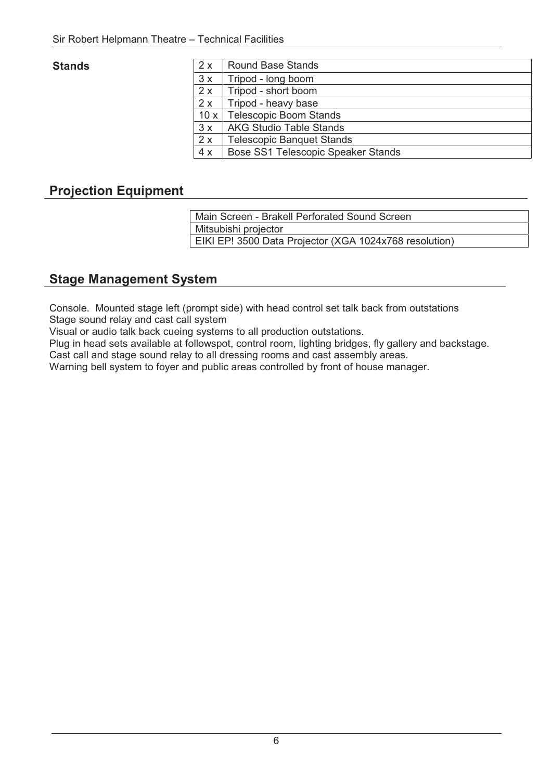#### **Stands**

| <b>Stands</b> | 2x  | <b>Round Base Stands</b>           |
|---------------|-----|------------------------------------|
|               | 3x  | Tripod - long boom                 |
|               | 2x  | Tripod - short boom                |
|               | 2x  | Tripod - heavy base                |
|               |     | 10 x   Telescopic Boom Stands      |
|               | 3x  | <b>AKG Studio Table Stands</b>     |
|               | 2 x | <b>Telescopic Banquet Stands</b>   |
|               | 4 x | Bose SS1 Telescopic Speaker Stands |
|               |     |                                    |

### **Projection Equipment**

 Main Screen - Brakell Perforated Sound Screen Mitsubishi projector EIKI EP! 3500 Data Projector (XGA 1024x768 resolution)

### **Stage Management System**

Console. Mounted stage left (prompt side) with head control set talk back from outstations Stage sound relay and cast call system

Visual or audio talk back cueing systems to all production outstations.

Plug in head sets available at followspot, control room, lighting bridges, fly gallery and backstage.

Cast call and stage sound relay to all dressing rooms and cast assembly areas.

Warning bell system to foyer and public areas controlled by front of house manager.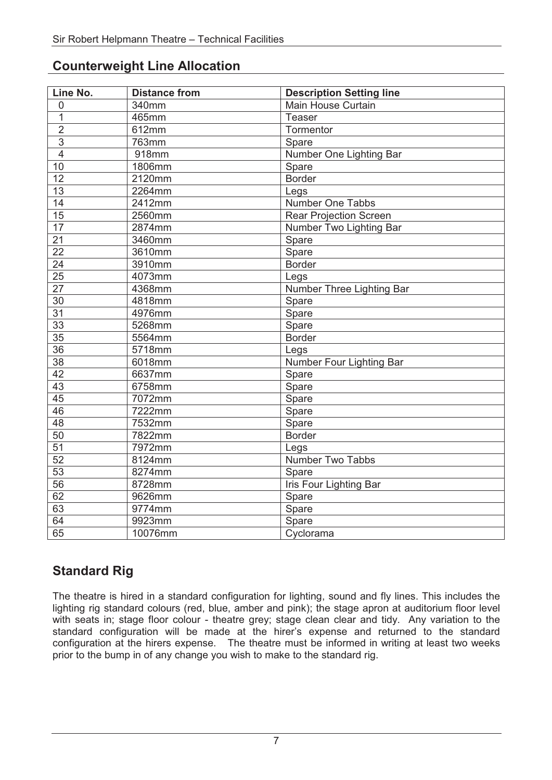| Line No.        | <b>Distance from</b> | <b>Description Setting line</b> |
|-----------------|----------------------|---------------------------------|
| $\mathbf 0$     | 340mm                | Main House Curtain              |
| $\overline{1}$  | 465mm                | Teaser                          |
| $\overline{2}$  | 612mm                | Tormentor                       |
| $\overline{3}$  | 763mm                | Spare                           |
| $\overline{4}$  | 918mm                | Number One Lighting Bar         |
| 10              | 1806mm               | Spare                           |
| $\overline{12}$ | 2120mm               | <b>Border</b>                   |
| 13              | 2264mm               | Legs                            |
| 14              | 2412mm               | Number One Tabbs                |
| 15              | 2560mm               | <b>Rear Projection Screen</b>   |
| $\overline{17}$ | 2874mm               | Number Two Lighting Bar         |
| $\overline{21}$ | 3460mm               | Spare                           |
| $\overline{22}$ | 3610mm               | Spare                           |
| 24              | 3910mm               | <b>Border</b>                   |
| 25              | 4073mm               | Legs                            |
| $\overline{27}$ | 4368mm               | Number Three Lighting Bar       |
| $\overline{30}$ | 4818mm               | Spare                           |
| 31              | 4976mm               | Spare                           |
| $\overline{33}$ | 5268mm               | Spare                           |
| 35              | 5564mm               | <b>Border</b>                   |
| $\overline{36}$ | 5718mm               | Legs                            |
| $\overline{38}$ | 6018mm               | Number Four Lighting Bar        |
| 42              | 6637mm               | Spare                           |
| $\overline{43}$ | 6758mm               | Spare                           |
| 45              | 7072mm               | Spare                           |
| 46              | 7222mm               | Spare                           |
| $\overline{48}$ | 7532mm               | Spare                           |
| 50              | 7822mm               | <b>Border</b>                   |
| 51              | 7972mm               | Legs                            |
| 52              | 8124mm               | Number Two Tabbs                |
| $\overline{53}$ | 8274mm               | Spare                           |
| $\overline{56}$ | 8728mm               | <b>Iris Four Lighting Bar</b>   |
| 62              | 9626mm               | Spare                           |
| 63              | 9774mm               | Spare                           |
| 64              | 9923mm               | Spare                           |
| 65              | 10076mm              | Cyclorama                       |

## **Standard Rig**

The theatre is hired in a standard configuration for lighting, sound and fly lines. This includes the lighting rig standard colours (red, blue, amber and pink); the stage apron at auditorium floor level with seats in; stage floor colour - theatre grey; stage clean clear and tidy. Any variation to the standard configuration will be made at the hirer's expense and returned to the standard configuration at the hirers expense. The theatre must be informed in writing at least two weeks prior to the bump in of any change you wish to make to the standard rig.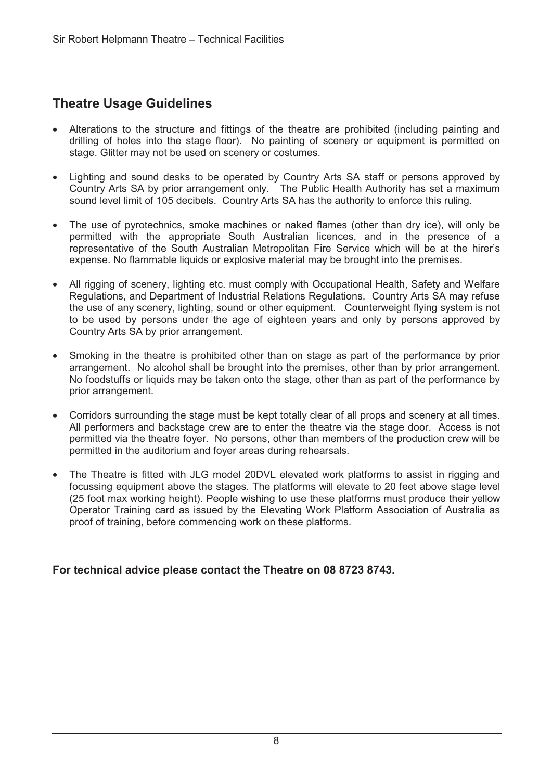### **Theatre Usage Guidelines**

- Alterations to the structure and fittings of the theatre are prohibited (including painting and drilling of holes into the stage floor). No painting of scenery or equipment is permitted on stage. Glitter may not be used on scenery or costumes.
- Lighting and sound desks to be operated by Country Arts SA staff or persons approved by Country Arts SA by prior arrangement only. The Public Health Authority has set a maximum sound level limit of 105 decibels. Country Arts SA has the authority to enforce this ruling.
- The use of pyrotechnics, smoke machines or naked flames (other than dry ice), will only be permitted with the appropriate South Australian licences, and in the presence of a representative of the South Australian Metropolitan Fire Service which will be at the hirer's expense. No flammable liquids or explosive material may be brought into the premises.
- All rigging of scenery, lighting etc. must comply with Occupational Health, Safety and Welfare Regulations, and Department of Industrial Relations Regulations. Country Arts SA may refuse the use of any scenery, lighting, sound or other equipment. Counterweight flying system is not to be used by persons under the age of eighteen years and only by persons approved by Country Arts SA by prior arrangement.
- Smoking in the theatre is prohibited other than on stage as part of the performance by prior arrangement. No alcohol shall be brought into the premises, other than by prior arrangement. No foodstuffs or liquids may be taken onto the stage, other than as part of the performance by prior arrangement.
- Corridors surrounding the stage must be kept totally clear of all props and scenery at all times. All performers and backstage crew are to enter the theatre via the stage door. Access is not permitted via the theatre foyer. No persons, other than members of the production crew will be permitted in the auditorium and foyer areas during rehearsals.
- The Theatre is fitted with JLG model 20DVL elevated work platforms to assist in rigging and focussing equipment above the stages. The platforms will elevate to 20 feet above stage level (25 foot max working height). People wishing to use these platforms must produce their yellow Operator Training card as issued by the Elevating Work Platform Association of Australia as proof of training, before commencing work on these platforms.

#### **For technical advice please contact the Theatre on 08 8723 8743.**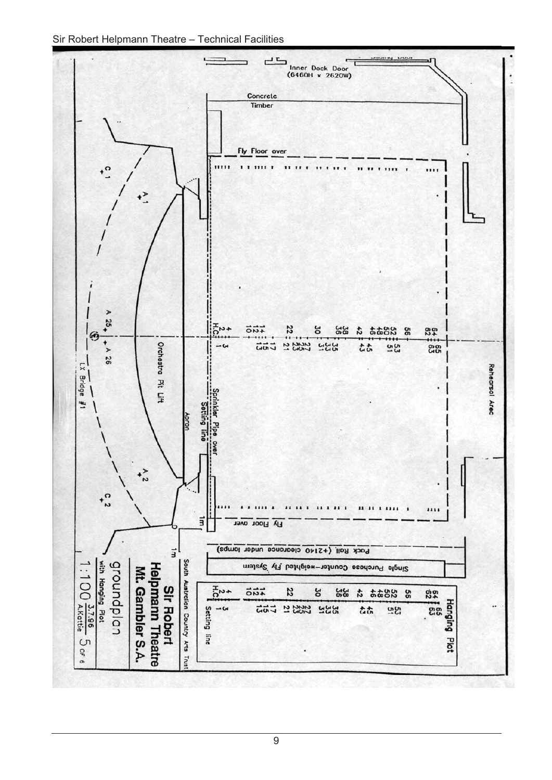Sir Robert Helpmann Theatre – Technical Facilities



9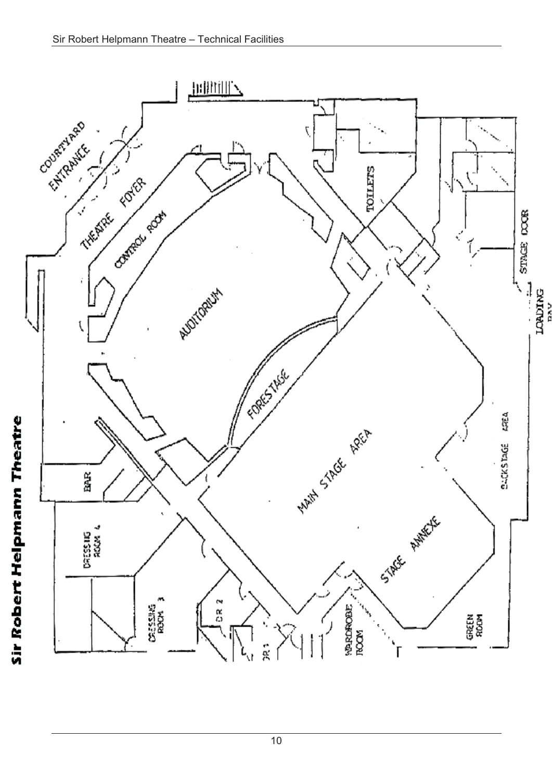

10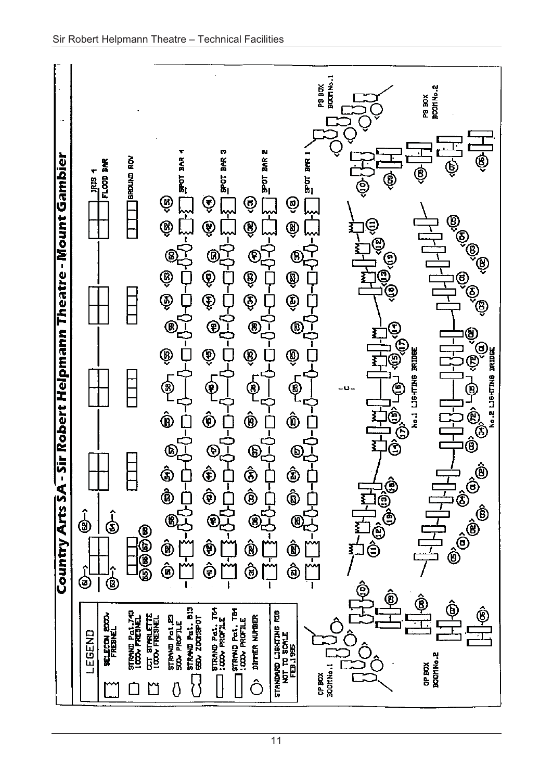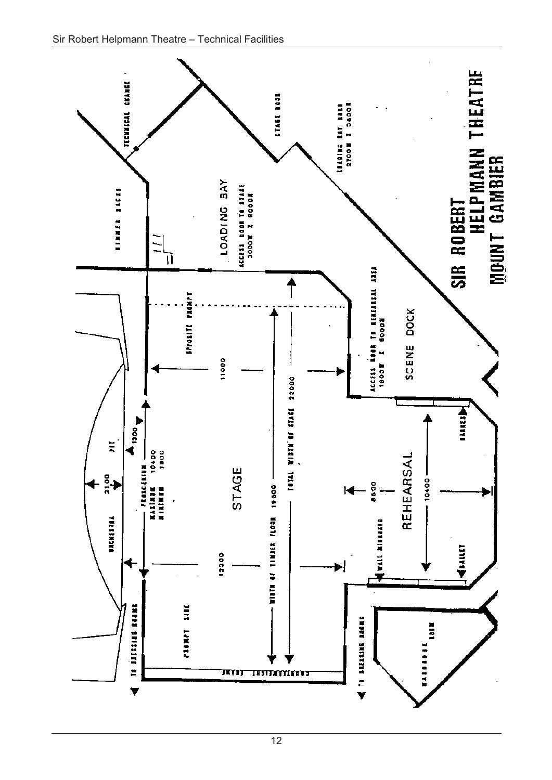